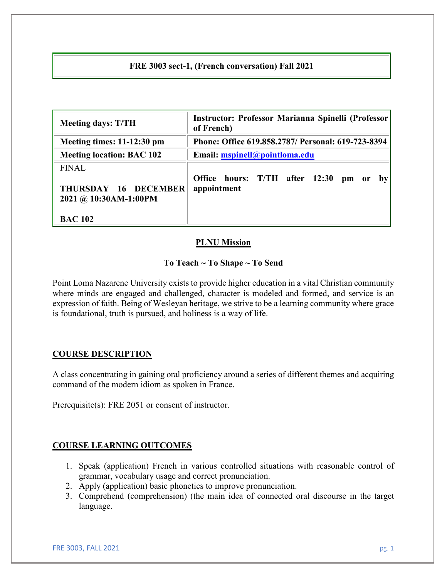# **FRE 3003 sect-1, (French conversation) Fall 2021**

| <b>Meeting days: T/TH</b>                                     | Instructor: Professor Marianna Spinelli (Professor<br>of French)                                 |  |  |
|---------------------------------------------------------------|--------------------------------------------------------------------------------------------------|--|--|
| Meeting times: 11-12:30 pm                                    | Phone: Office 619.858.2787/ Personal: 619-723-8394                                               |  |  |
| <b>Meeting location: BAC 102</b>                              | Email: mspinell@pointloma.edu                                                                    |  |  |
| <b>FINAL</b><br>THURSDAY 16 DECEMBER<br>2021 @ 10:30AM-1:00PM | Office hours: T/TH after 12:30<br>$\mathbf{p}$ m<br>or<br>$\mathbf{b} \mathbf{v}$<br>appointment |  |  |
| <b>BAC 102</b>                                                |                                                                                                  |  |  |

#### **PLNU Mission**

#### **To Teach ~ To Shape ~ To Send**

Point Loma Nazarene University exists to provide higher education in a vital Christian community where minds are engaged and challenged, character is modeled and formed, and service is an expression of faith. Being of Wesleyan heritage, we strive to be a learning community where grace is foundational, truth is pursued, and holiness is a way of life.

### **COURSE DESCRIPTION**

A class concentrating in gaining oral proficiency around a series of different themes and acquiring command of the modern idiom as spoken in France.

Prerequisite(s): FRE 2051 or consent of instructor.

### **COURSE LEARNING OUTCOMES**

- 1. Speak (application) French in various controlled situations with reasonable control of grammar, vocabulary usage and correct pronunciation.
- 2. Apply (application) basic phonetics to improve pronunciation.
- 3. Comprehend (comprehension) (the main idea of connected oral discourse in the target language.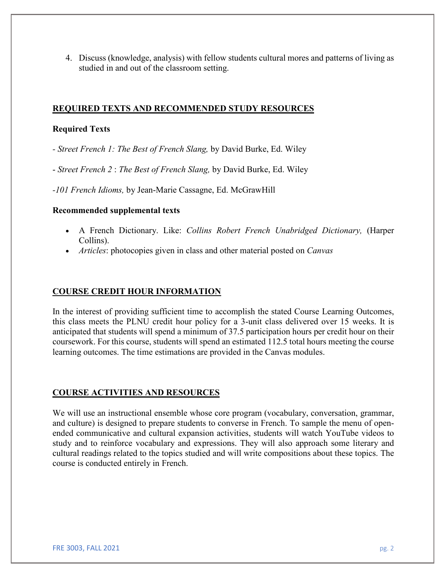4. Discuss (knowledge, analysis) with fellow students cultural mores and patterns of living as studied in and out of the classroom setting.

# **REQUIRED TEXTS AND RECOMMENDED STUDY RESOURCES**

### **Required Texts**

*- Street French 1: The Best of French Slang,* by David Burke, Ed. Wiley

- *Street French 2* : *The Best of French Slang,* by David Burke, Ed. Wiley

*-101 French Idioms,* by Jean-Marie Cassagne, Ed. McGrawHill

### **Recommended supplemental texts**

- A French Dictionary. Like: *Collins Robert French Unabridged Dictionary,* (Harper Collins).
- *Articles*: photocopies given in class and other material posted on *Canvas*

## **COURSE CREDIT HOUR INFORMATION**

In the interest of providing sufficient time to accomplish the stated Course Learning Outcomes, this class meets the PLNU credit hour policy for a 3-unit class delivered over 15 weeks. It is anticipated that students will spend a minimum of 37.5 participation hours per credit hour on their coursework. For this course, students will spend an estimated 112.5 total hours meeting the course learning outcomes. The time estimations are provided in the Canvas modules.

# **COURSE ACTIVITIES AND RESOURCES**

We will use an instructional ensemble whose core program (vocabulary, conversation, grammar, and culture) is designed to prepare students to converse in French. To sample the menu of openended communicative and cultural expansion activities, students will watch YouTube videos to study and to reinforce vocabulary and expressions. They will also approach some literary and cultural readings related to the topics studied and will write compositions about these topics. The course is conducted entirely in French.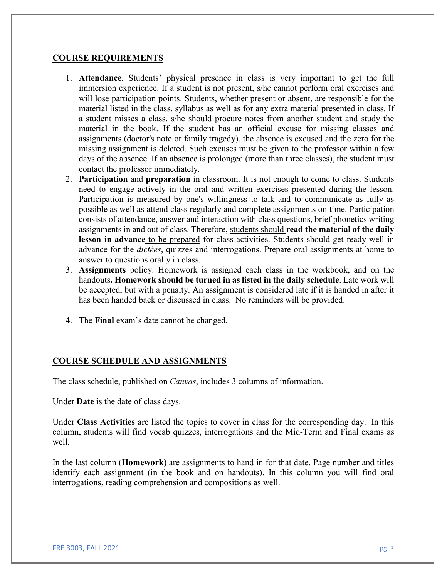### **COURSE REQUIREMENTS**

- 1. **Attendance**. Students' physical presence in class is very important to get the full immersion experience. If a student is not present, s/he cannot perform oral exercises and will lose participation points. Students, whether present or absent, are responsible for the material listed in the class, syllabus as well as for any extra material presented in class. If a student misses a class, s/he should procure notes from another student and study the material in the book. If the student has an official excuse for missing classes and assignments (doctor's note or family tragedy), the absence is excused and the zero for the missing assignment is deleted. Such excuses must be given to the professor within a few days of the absence. If an absence is prolonged (more than three classes), the student must contact the professor immediately.
- 2. **Participation** and **preparation** in classroom. It is not enough to come to class. Students need to engage actively in the oral and written exercises presented during the lesson. Participation is measured by one's willingness to talk and to communicate as fully as possible as well as attend class regularly and complete assignments on time. Participation consists of attendance, answer and interaction with class questions, brief phonetics writing assignments in and out of class. Therefore, students should **read the material of the daily lesson in advance** to be prepared for class activities. Students should get ready well in advance for the *dictées*, quizzes and interrogations. Prepare oral assignments at home to answer to questions orally in class.
- 3. **Assignments** policy. Homework is assigned each class in the workbook, and on the handouts**. Homework should be turned in as listed in the daily schedule**. Late work will be accepted, but with a penalty. An assignment is considered late if it is handed in after it has been handed back or discussed in class. No reminders will be provided.
- 4. The **Final** exam's date cannot be changed.

# **COURSE SCHEDULE AND ASSIGNMENTS**

The class schedule, published on *Canvas*, includes 3 columns of information.

Under **Date** is the date of class days.

Under **Class Activities** are listed the topics to cover in class for the corresponding day. In this column, students will find vocab quizzes, interrogations and the Mid-Term and Final exams as well.

In the last column (**Homework**) are assignments to hand in for that date. Page number and titles identify each assignment (in the book and on handouts). In this column you will find oral interrogations, reading comprehension and compositions as well.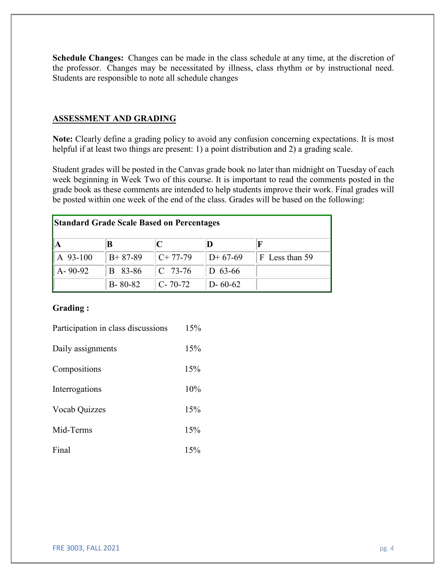**Schedule Changes:** Changes can be made in the class schedule at any time, at the discretion of the professor. Changes may be necessitated by illness, class rhythm or by instructional need. Students are responsible to note all schedule changes

### **ASSESSMENT AND GRADING**

**Note:** Clearly define a grading policy to avoid any confusion concerning expectations. It is most helpful if at least two things are present: 1) a point distribution and 2) a grading scale.

Student grades will be posted in the Canvas grade book no later than midnight on Tuesday of each week beginning in Week Two of this course. It is important to read the comments posted in the grade book as these comments are intended to help students improve their work. Final grades will be posted within one week of the end of the class. Grades will be based on the following:

| <b>Standard Grade Scale Based on Percentages</b> |               |               |               |                |  |
|--------------------------------------------------|---------------|---------------|---------------|----------------|--|
|                                                  |               |               |               |                |  |
| A 93-100                                         | $B+87-89$     | $C+77-79$     | $D+67-69$     | F Less than 59 |  |
| $A - 90 - 92$                                    | B 83-86       | $C$ 73-76     | D $63-66$     |                |  |
|                                                  | $B - 80 - 82$ | $C - 70 - 72$ | $D - 60 - 62$ |                |  |

#### **Grading :**

| Participation in class discussions | 15% |
|------------------------------------|-----|
| Daily assignments                  | 15% |
| Compositions                       | 15% |
| Interrogations                     | 10% |
| Vocab Quizzes                      | 15% |
| Mid-Terms                          | 15% |
| Final                              | 15% |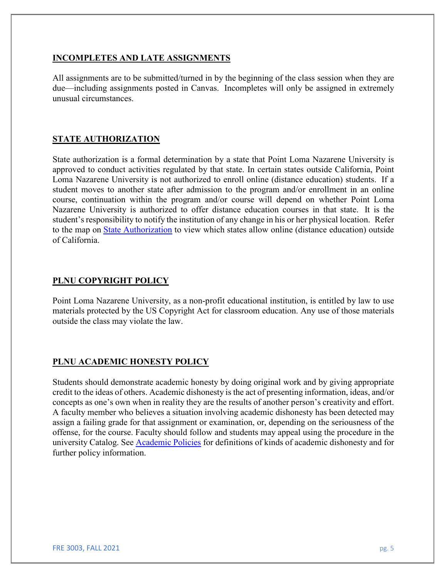### **INCOMPLETES AND LATE ASSIGNMENTS**

All assignments are to be submitted/turned in by the beginning of the class session when they are due—including assignments posted in Canvas. Incompletes will only be assigned in extremely unusual circumstances.

# **STATE AUTHORIZATION**

State authorization is a formal determination by a state that Point Loma Nazarene University is approved to conduct activities regulated by that state. In certain states outside California, Point Loma Nazarene University is not authorized to enroll online (distance education) students. If a student moves to another state after admission to the program and/or enrollment in an online course, continuation within the program and/or course will depend on whether Point Loma Nazarene University is authorized to offer distance education courses in that state. It is the student's responsibility to notify the institution of any change in his or her physical location. Refer to the map on [State Authorization](https://www.pointloma.edu/offices/office-institutional-effectiveness-research/disclosures) to view which states allow online (distance education) outside of California.

# **PLNU COPYRIGHT POLICY**

Point Loma Nazarene University, as a non-profit educational institution, is entitled by law to use materials protected by the US Copyright Act for classroom education. Any use of those materials outside the class may violate the law.

# **PLNU ACADEMIC HONESTY POLICY**

Students should demonstrate academic honesty by doing original work and by giving appropriate credit to the ideas of others. Academic dishonesty is the act of presenting information, ideas, and/or concepts as one's own when in reality they are the results of another person's creativity and effort. A faculty member who believes a situation involving academic dishonesty has been detected may assign a failing grade for that assignment or examination, or, depending on the seriousness of the offense, for the course. Faculty should follow and students may appeal using the procedure in the university Catalog. See [Academic Policies](http://catalog.pointloma.edu/content.php?catoid=18&navoid=1278) for definitions of kinds of academic dishonesty and for further policy information.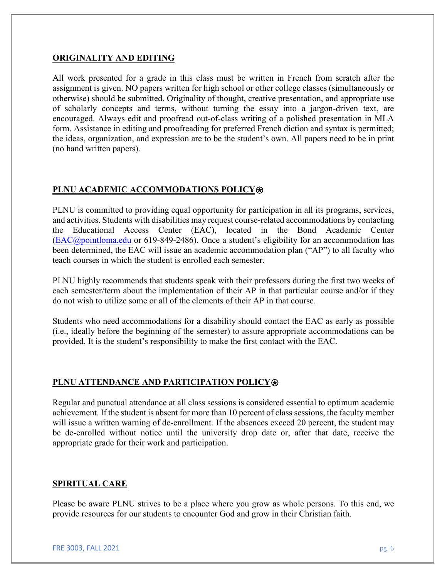### **ORIGINALITY AND EDITING**

All work presented for a grade in this class must be written in French from scratch after the assignment is given. NO papers written for high school or other college classes (simultaneously or otherwise) should be submitted. Originality of thought, creative presentation, and appropriate use of scholarly concepts and terms, without turning the essay into a jargon-driven text, are encouraged. Always edit and proofread out-of-class writing of a polished presentation in MLA form. Assistance in editing and proofreading for preferred French diction and syntax is permitted; the ideas, organization, and expression are to be the student's own. All papers need to be in print (no hand written papers).

# **PLNU ACADEMIC ACCOMMODATIONS POLICY**⍟

PLNU is committed to providing equal opportunity for participation in all its programs, services, and activities. Students with disabilities may request course-related accommodations by contacting the Educational Access Center (EAC), located in the Bond Academic Center [\(EAC@pointloma.edu](mailto:EAC@pointloma.edu) or 619-849-2486). Once a student's eligibility for an accommodation has been determined, the EAC will issue an academic accommodation plan ("AP") to all faculty who teach courses in which the student is enrolled each semester.

PLNU highly recommends that students speak with their professors during the first two weeks of each semester/term about the implementation of their AP in that particular course and/or if they do not wish to utilize some or all of the elements of their AP in that course.

Students who need accommodations for a disability should contact the EAC as early as possible (i.e., ideally before the beginning of the semester) to assure appropriate accommodations can be provided. It is the student's responsibility to make the first contact with the EAC.

# **PLNU ATTENDANCE AND PARTICIPATION POLICY**⍟

Regular and punctual attendance at all class sessions is considered essential to optimum academic achievement. If the student is absent for more than 10 percent of class sessions, the faculty member will issue a written warning of de-enrollment. If the absences exceed 20 percent, the student may be de-enrolled without notice until the university drop date or, after that date, receive the appropriate grade for their work and participation.

# **SPIRITUAL CARE**

Please be aware PLNU strives to be a place where you grow as whole persons. To this end, we provide resources for our students to encounter God and grow in their Christian faith.